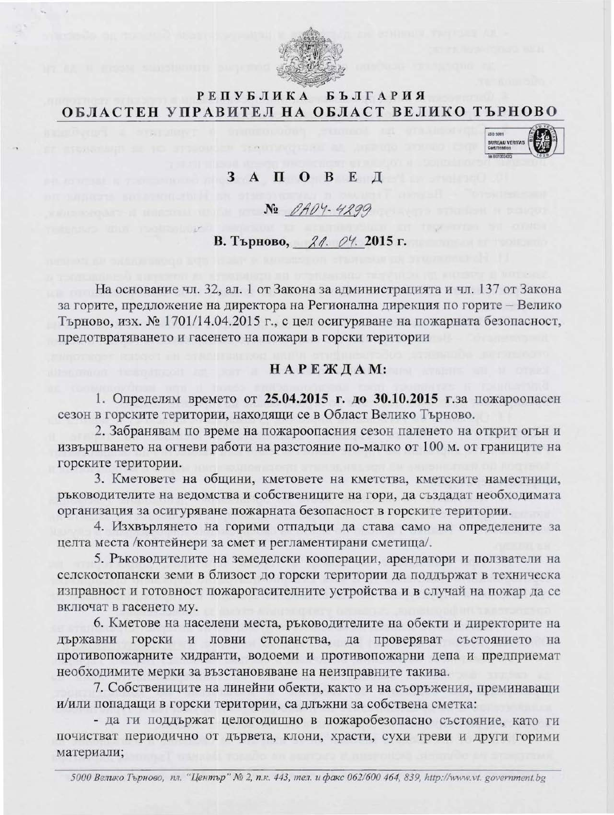

#### **РЕПУБЛИКА БЪЛГАРИЯ** ОБЛАСТЕН УПРАВИТЕЛ НА ОБЛАСТ ВЕЛИКО ТЪРНОВО

### 3 A II O B E A

No DADY-4299

# В. Търново, 21. 04. 2015 г.

На основание чл. 32, ал. 1 от Закона за администрацията и чл. 137 от Закона за горите, предложение на директора на Регионална дирекция по горите - Велико Търново, изх. № 1701/14.04.2015 г., с цел осигуряване на пожарната безопасност, предотвратяването и гасенето на пожари в горски територии

## НАРЕЖДАМ:

1. Определям времето от 25.04.2015 г. до 30.10.2015 г.за пожароопасен сезон в горските територии, находящи се в Област Велико Търново.

2. Забранявам по време на пожароопасния сезон паленето на открит огън и извършването на огневи работи на разстояние по-малко от 100 м. от границите на горските територии.

3. Кметовете на общини, кметовете на кметства, кметските наместници, ръководителите на ведомства и собствениците на гори, да създадат необходимата организация за осигуряване пожарната безопасност в горските територии.

4. Изхвърлянето на горими отпадъци да става само на определените за целта места /контейнери за смет и регламентирани сметища/.

5. Ръководителите на земеделски кооперации, арендатори и ползватели на селскостопански земи в близост до горски територии да поддържат в техническа изправност и готовност пожарогасителните устройства и в случай на пожар да се включат в гасенето му.

6. Кметове на населени места, ръководителите на обекти и директорите на ловни стопанства, да проверяват състоянието на държавни горски и противопожарните хидранти, водоеми и противопожарни депа и предприемат необходимите мерки за възстановяване на неизправните такива.

7. Собствениците на линейни обекти, както и на съоръжения, преминаващи и/или попадащи в горски територии, са длъжни за собствена сметка:

- да ги поддържат целогодишно в пожаробезопасно състояние, като ги почистват периодично от дървета, клони, храсти, сухи треви и други горими материали;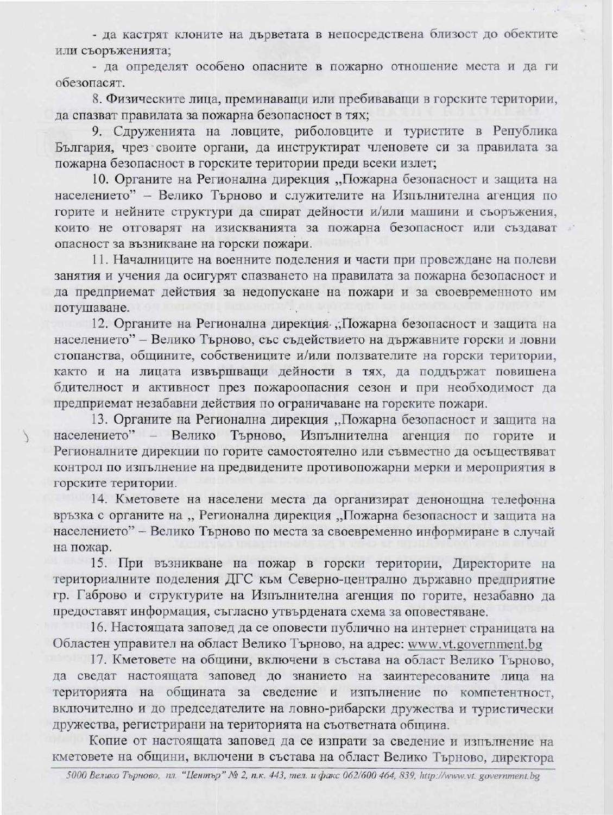- да кастрят клоните на дърветата в непосредствена близост до обектите или съоръженията;

- да определят особено опасните в пожарно отношение места и да ги обезопасят.

8. Физическите лица, преминаващи или пребиваващи в горските територии, да спазват правилата за пожарна безопасност в тях;

9. Сдруженията на ловците, риболовците и туристите в Република България, чрез своите органи, да инструктират членовете си за правилата за пожарна безопасност в горските територии преди всеки излет;

10. Органите на Регионална дирекция "Пожарна безопасност и защита на населението" - Велико Търново и служителите на Изпълнителна агенция по горите и нейните структури да спират дейности и/или машини и съоръжения, които не отговарят на изискванията за пожарна безопасност или създават опасност за възникване на горски пожари.

11. Началниците на военните поделения и части при провеждане на полеви занятия и учения да осигурят спазването на правилата за пожарна безопасност и да предприемат действия за недопускане на пожари и за своевременното им потушаване.

12. Органите на Регионална дирекция "Пожарна безопасност и защита на населението" - Велико Търново, със съдействието на държавните горски и ловни стопанства, общините, собствениците и/или ползвателите на горски територии, както и на лицата извършващи дейности в тях, да поддържат повишена бдителност и активност през пожароопасния сезон и при необходимост да предприемат незабавни действия по ограничаване на горските пожари.

13. Органите на Регионална дирекция "Пожарна безопасност и защита на населението" - Велико Търново, Изпълнителна агенция по горите и Регионалните дирекции по горите самостоятелно или съвместно да осъществяват контрол по изпълнение на предвидените противопожарни мерки и мероприятия в горските територии.

14. Кметовете на населени места да организират денонощна телефонна връзка с органите на "Регионална дирекция "Пожарна безопасност и защита на населението" - Велико Търново по места за своевременно информиране в случай на пожар.

15. При възникване на пожар в горски територии, Директорите на териториалните поделения ДГС към Северно-централно държавно предприятие гр. Габрово и структурите на Изпълнителна агенция по горите, незабавно да предоставят информация, съгласно утвърдената схема за оповестяване.

16. Настоящата заповед да се оповести публично на интернет страницата на Областен управител на област Велико Търново, на адрес: www.vt.government.bg

17. Кметовете на общини, включени в състава на област Велико Търново, да сведат настоящата заповед до знанието на заинтересованите лица на територията на общината за сведение и изпълнение по компетентност, включително и до председателите на ловно-рибарски дружества и туристически дружества, регистрирани на територията на съответната община.

Копие от настоящата заповед да се изпрати за сведение и изпълнение на кметовете на общини, включени в състава на област Велико Търново, директора

5000 Велико Търново, пл. "Център" № 2, п.к. 443, тел. и факс 062/600 464, 839, http://www.vt. government.bg